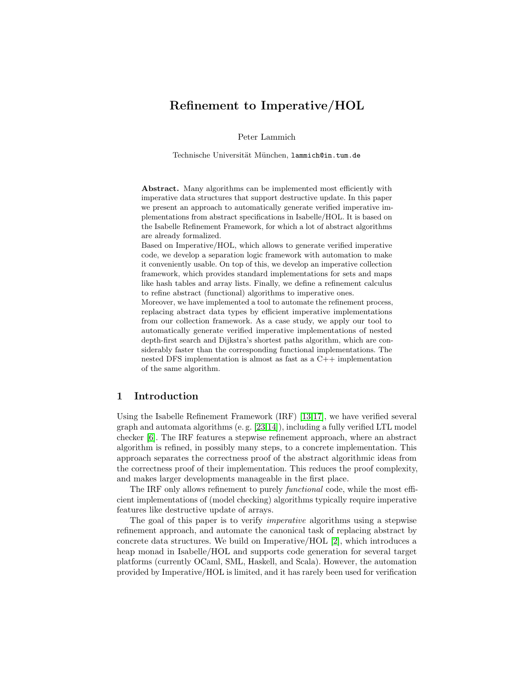# Refinement to Imperative/HOL

Peter Lammich

Technische Universität München, lammich@in.tum.de

Abstract. Many algorithms can be implemented most efficiently with imperative data structures that support destructive update. In this paper we present an approach to automatically generate verified imperative implementations from abstract specifications in Isabelle/HOL. It is based on the Isabelle Refinement Framework, for which a lot of abstract algorithms are already formalized.

Based on Imperative/HOL, which allows to generate verified imperative code, we develop a separation logic framework with automation to make it conveniently usable. On top of this, we develop an imperative collection framework, which provides standard implementations for sets and maps like hash tables and array lists. Finally, we define a refinement calculus to refine abstract (functional) algorithms to imperative ones.

Moreover, we have implemented a tool to automate the refinement process, replacing abstract data types by efficient imperative implementations from our collection framework. As a case study, we apply our tool to automatically generate verified imperative implementations of nested depth-first search and Dijkstra's shortest paths algorithm, which are considerably faster than the corresponding functional implementations. The nested DFS implementation is almost as fast as a C++ implementation of the same algorithm.

## 1 Introduction

Using the Isabelle Refinement Framework (IRF) [\[13](#page-15-0)[,17\]](#page-15-1), we have verified several graph and automata algorithms (e. g. [\[23,](#page-15-2)[14\]](#page-15-3)), including a fully verified LTL model checker [\[6\]](#page-14-0). The IRF features a stepwise refinement approach, where an abstract algorithm is refined, in possibly many steps, to a concrete implementation. This approach separates the correctness proof of the abstract algorithmic ideas from the correctness proof of their implementation. This reduces the proof complexity, and makes larger developments manageable in the first place.

The IRF only allows refinement to purely functional code, while the most efficient implementations of (model checking) algorithms typically require imperative features like destructive update of arrays.

The goal of this paper is to verify imperative algorithms using a stepwise refinement approach, and automate the canonical task of replacing abstract by concrete data structures. We build on Imperative/HOL [\[2\]](#page-14-1), which introduces a heap monad in Isabelle/HOL and supports code generation for several target platforms (currently OCaml, SML, Haskell, and Scala). However, the automation provided by Imperative/HOL is limited, and it has rarely been used for verification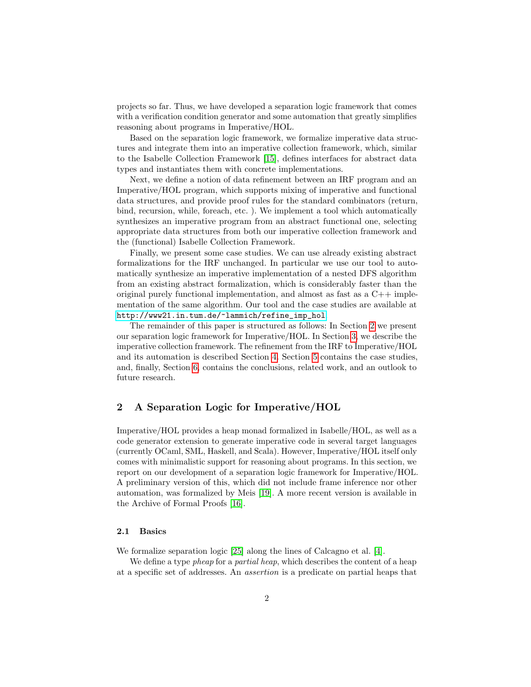projects so far. Thus, we have developed a separation logic framework that comes with a verification condition generator and some automation that greatly simplifies reasoning about programs in Imperative/HOL.

Based on the separation logic framework, we formalize imperative data structures and integrate them into an imperative collection framework, which, similar to the Isabelle Collection Framework [\[15\]](#page-15-4), defines interfaces for abstract data types and instantiates them with concrete implementations.

Next, we define a notion of data refinement between an IRF program and an Imperative/HOL program, which supports mixing of imperative and functional data structures, and provide proof rules for the standard combinators (return, bind, recursion, while, foreach, etc. ). We implement a tool which automatically synthesizes an imperative program from an abstract functional one, selecting appropriate data structures from both our imperative collection framework and the (functional) Isabelle Collection Framework.

Finally, we present some case studies. We can use already existing abstract formalizations for the IRF unchanged. In particular we use our tool to automatically synthesize an imperative implementation of a nested DFS algorithm from an existing abstract formalization, which is considerably faster than the original purely functional implementation, and almost as fast as a  $C++$  implementation of the same algorithm. Our tool and the case studies are available at [http://www21.in.tum.de/~lammich/refine\\_imp\\_hol](http://www21.in.tum.de/~lammich/refine_imp_hol).

The remainder of this paper is structured as follows: In Section [2](#page-1-0) we present our separation logic framework for Imperative/HOL. In Section [3,](#page-4-0) we describe the imperative collection framework. The refinement from the IRF to Imperative/HOL and its automation is described Section [4.](#page-4-1) Section [5](#page-11-0) contains the case studies, and, finally, Section [6,](#page-13-0) contains the conclusions, related work, and an outlook to future research.

# <span id="page-1-0"></span>2 A Separation Logic for Imperative/HOL

Imperative/HOL provides a heap monad formalized in Isabelle/HOL, as well as a code generator extension to generate imperative code in several target languages (currently OCaml, SML, Haskell, and Scala). However, Imperative/HOL itself only comes with minimalistic support for reasoning about programs. In this section, we report on our development of a separation logic framework for Imperative/HOL. A preliminary version of this, which did not include frame inference nor other automation, was formalized by Meis [\[19\]](#page-15-5). A more recent version is available in the Archive of Formal Proofs [\[16\]](#page-15-6).

### 2.1 Basics

We formalize separation logic [\[25\]](#page-15-7) along the lines of Calcagno et al. [\[4\]](#page-14-2).

We define a type *pheap* for a *partial heap*, which describes the content of a heap at a specific set of addresses. An assertion is a predicate on partial heaps that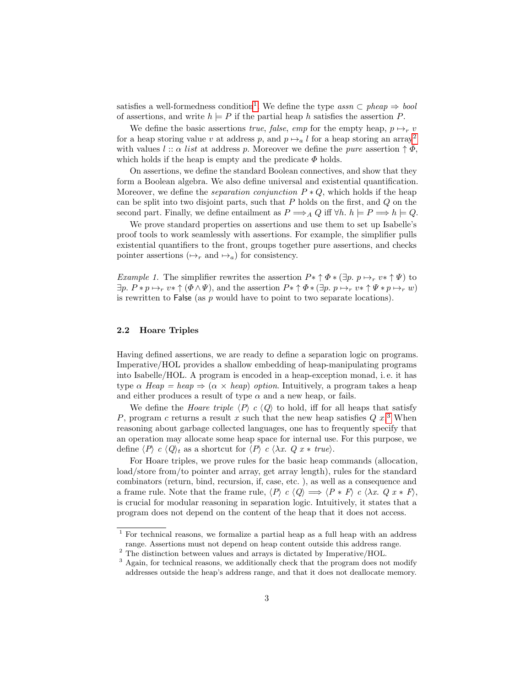satisfies a well-formedness condition<sup>[1](#page-2-0)</sup>. We define the type  $assn \subset pheap \Rightarrow bool$ of assertions, and write  $h \models P$  if the partial heap h satisfies the assertion P.

We define the basic assertions true, false, emp for the empty heap,  $p \mapsto_r v$ for a heap storing value v at address p, and  $p \mapsto_{a} l$  for a heap storing an array<sup>[2](#page-2-1)</sup> with values  $l :: \alpha$  list at address p. Moreover we define the pure assertion  $\uparrow \Phi$ , which holds if the heap is empty and the predicate  $\Phi$  holds.

On assertions, we define the standard Boolean connectives, and show that they form a Boolean algebra. We also define universal and existential quantification. Moreover, we define the *separation conjunction*  $P * Q$ , which holds if the heap can be split into two disjoint parts, such that  $P$  holds on the first, and  $Q$  on the second part. Finally, we define entailment as  $P \Longrightarrow_A Q$  iff  $\forall h. h \models P \Longrightarrow h \models Q$ .

We prove standard properties on assertions and use them to set up Isabelle's proof tools to work seamlessly with assertions. For example, the simplifier pulls existential quantifiers to the front, groups together pure assertions, and checks pointer assertions  $(\mapsto_r$  and  $\mapsto_a)$  for consistency.

*Example 1.* The simplifier rewrites the assertion  $P^* \uparrow \Phi * (\exists p. p \mapsto_r v * \uparrow \Psi)$  to  $\exists p. P * p \mapsto_r v * \uparrow (\Phi \wedge \Psi)$ , and the assertion  $P * \uparrow \Phi * (\exists p. p \mapsto_r v * \uparrow \Psi * p \mapsto_r w)$ is rewritten to False (as  $p$  would have to point to two separate locations).

## 2.2 Hoare Triples

Having defined assertions, we are ready to define a separation logic on programs. Imperative/HOL provides a shallow embedding of heap-manipulating programs into Isabelle/HOL. A program is encoded in a heap-exception monad, i. e. it has type  $\alpha$  Heap = heap  $\Rightarrow$  ( $\alpha \times$  heap) option. Intuitively, a program takes a heap and either produces a result of type  $\alpha$  and a new heap, or fails.

We define the *Hoare triple*  $\langle P \rangle$  c  $\langle Q \rangle$  to hold, iff for all heaps that satisfy P, program c returns a result x such that the new heap satisfies  $Q\ x$ <sup>[3](#page-2-2)</sup> When reasoning about garbage collected languages, one has to frequently specify that an operation may allocate some heap space for internal use. For this purpose, we define  $\langle P \rangle c \langle Q \rangle_t$  as a shortcut for  $\langle P \rangle c \langle \lambda x. Q x * true \rangle$ .

For Hoare triples, we prove rules for the basic heap commands (allocation, load/store from/to pointer and array, get array length), rules for the standard combinators (return, bind, recursion, if, case, etc. ), as well as a consequence and a frame rule. Note that the frame rule,  $\langle P \rangle c \langle Q \rangle \Longrightarrow \langle P * F \rangle c \langle \lambda x. Q x * F \rangle$ , is crucial for modular reasoning in separation logic. Intuitively, it states that a program does not depend on the content of the heap that it does not access.

<span id="page-2-0"></span> $1$  For technical reasons, we formalize a partial heap as a full heap with an address range. Assertions must not depend on heap content outside this address range.

<span id="page-2-1"></span><sup>2</sup> The distinction between values and arrays is dictated by Imperative/HOL.

<span id="page-2-2"></span><sup>&</sup>lt;sup>3</sup> Again, for technical reasons, we additionally check that the program does not modify addresses outside the heap's address range, and that it does not deallocate memory.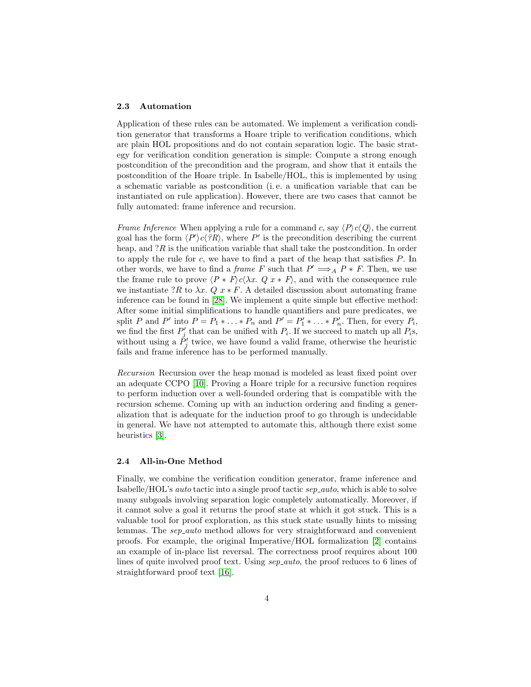#### 2.3 Automation

Application of these rules can be automated. We implement a verification condition generator that transforms a Hoare triple to verification conditions, which are plain HOL propositions and do not contain separation logic. The basic strategy for verification condition generation is simple: Compute a strong enough postcondition of the precondition and the program, and show that it entails the postcondition of the Hoare triple. In Isabelle/HOL, this is implemented by using a schematic variable as postcondition (i. e. a unification variable that can be instantiated on rule application). However, there are two cases that cannot be fully automated: frame inference and recursion.

Frame Inference When applying a rule for a command c, say  $\langle P \rangle c \langle Q \rangle$ , the current goal has the form  $\langle P' \rangle c \langle {}^2R \rangle$ , where P' is the precondition describing the current heap, and  $?R$  is the unification variable that shall take the postcondition. In order to apply the rule for c, we have to find a part of the heap that satisfies P. In other words, we have to find a *frame* F such that  $P' \implies_A P * F$ . Then, we use the frame rule to prove  $\langle P * F \rangle c \langle \lambda x, Q x * F \rangle$ , and with the consequence rule we instantiate ?R to  $\lambda x$ . Q  $x * F$ . A detailed discussion about automating frame inference can be found in [\[28\]](#page-15-8). We implement a quite simple but effective method: After some initial simplifications to handle quantifiers and pure predicates, we split P and P' into  $P = P_1 * \ldots * P_n$  and  $P' = P'_1 * \ldots * P'_n$ . Then, for every  $P_i$ , we find the first  $P'_j$  that can be unified with  $P_i$ . If we succeed to match up all  $P_i$ s, without using a  $\dot{P}'_j$  twice, we have found a valid frame, otherwise the heuristic fails and frame inference has to be performed manually.

Recursion Recursion over the heap monad is modeled as least fixed point over an adequate CCPO [\[10\]](#page-15-9). Proving a Hoare triple for a recursive function requires to perform induction over a well-founded ordering that is compatible with the recursion scheme. Coming up with an induction ordering and finding a generalization that is adequate for the induction proof to go through is undecidable in general. We have not attempted to automate this, although there exist some heuristics [\[3\]](#page-14-3).

#### 2.4 All-in-One Method

Finally, we combine the verification condition generator, frame inference and Isabelle/HOL's auto tactic into a single proof tactic sep auto, which is able to solve many subgoals involving separation logic completely automatically. Moreover, if it cannot solve a goal it returns the proof state at which it got stuck. This is a valuable tool for proof exploration, as this stuck state usually hints to missing lemmas. The *sep<sub>rauto</sub>* method allows for very straightforward and convenient proofs. For example, the original Imperative/HOL formalization [\[2\]](#page-14-1) contains an example of in-place list reversal. The correctness proof requires about 100 lines of quite involved proof text. Using  $sep_auto$ , the proof reduces to 6 lines of straightforward proof text [\[16\]](#page-15-6).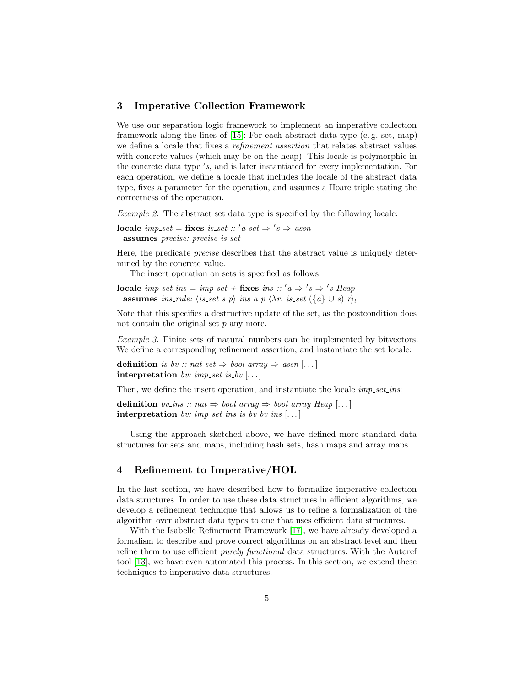## <span id="page-4-0"></span>3 Imperative Collection Framework

We use our separation logic framework to implement an imperative collection framework along the lines of [\[15\]](#page-15-4): For each abstract data type (e. g. set, map) we define a locale that fixes a *refinement assertion* that relates abstract values with concrete values (which may be on the heap). This locale is polymorphic in the concrete data type  $'s$ , and is later instantiated for every implementation. For each operation, we define a locale that includes the locale of the abstract data type, fixes a parameter for the operation, and assumes a Hoare triple stating the correctness of the operation.

Example 2. The abstract set data type is specified by the following locale:

locale  $\text{imp}\_set = \text{fixes}$  is set :: 'a set  $\Rightarrow$  's  $\Rightarrow$  assn assumes precise: precise is set

Here, the predicate precise describes that the abstract value is uniquely determined by the concrete value.

The insert operation on sets is specified as follows:

locale imp\_set\_ins = imp\_set + fixes ins :: ' $a \Rightarrow 's \Rightarrow 's$  Heap assumes ins\_rule:  $\langle$ is\_set s p $\rangle$  ins a p  $\langle \lambda r$ . is\_set  $({a} \cup s) r \rangle_t$ 

Note that this specifies a destructive update of the set, as the postcondition does not contain the original set  $p$  any more.

Example 3. Finite sets of natural numbers can be implemented by bitvectors. We define a corresponding refinement assertion, and instantiate the set locale:

definition is by :: nat set  $\Rightarrow$  bool array  $\Rightarrow$  assn [...] interpretation by: imp\_set is\_by  $[\dots]$ 

Then, we define the insert operation, and instantiate the locale  $imp_set_in s$ :

definition  $bv_{\mathcal{L}}ins :: nat \Rightarrow bool \; array \Rightarrow bool \; array \; Heap \; [...]$ interpretation bv: imp\_set\_ins is\_bv bv\_ins  $[...]$ 

Using the approach sketched above, we have defined more standard data structures for sets and maps, including hash sets, hash maps and array maps.

## <span id="page-4-1"></span>4 Refinement to Imperative/HOL

In the last section, we have described how to formalize imperative collection data structures. In order to use these data structures in efficient algorithms, we develop a refinement technique that allows us to refine a formalization of the algorithm over abstract data types to one that uses efficient data structures.

With the Isabelle Refinement Framework [\[17\]](#page-15-1), we have already developed a formalism to describe and prove correct algorithms on an abstract level and then refine them to use efficient purely functional data structures. With the Autoref tool [\[13\]](#page-15-0), we have even automated this process. In this section, we extend these techniques to imperative data structures.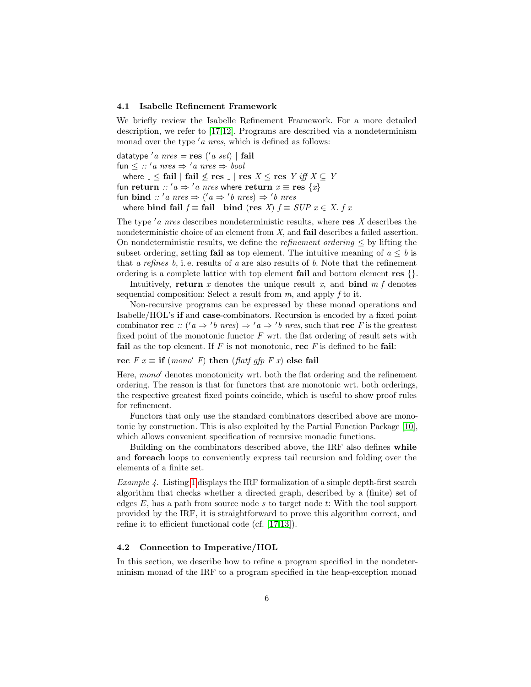## 4.1 Isabelle Refinement Framework

We briefly review the Isabelle Refinement Framework. For a more detailed description, we refer to [\[17,](#page-15-1)[12\]](#page-15-10). Programs are described via a nondeterminism monad over the type  $a$  nres, which is defined as follows:

datatype 'a  $nres = \mathbf{res}$  ('a set) | fail fun  $\leq$  :: 'a nres  $\Rightarrow$  'a nres  $\Rightarrow$  bool where  $\angle$   $\leq$  fail  $\vert$  fail  $\nleq$  res  $\angle$  | res  $X \leq$  res  $Y$  *iff*  $X \subseteq Y$ fun return ::  $'a \Rightarrow 'a$  nres where return  $x \equiv \text{res } \{x\}$ fun bind :: 'a nres  $\Rightarrow$  ('a  $\Rightarrow$  'b nres)  $\Rightarrow$  'b nres where bind fail  $f \equiv \text{fail}$  | bind (res X)  $f \equiv \text{SUP } x \in X$ . f x

The type  $a$  nres describes nondeterministic results, where res  $X$  describes the nondeterministic choice of an element from X, and **fail** describes a failed assertion. On nondeterministic results, we define the *refinement ordering*  $\leq$  by lifting the subset ordering, setting fail as top element. The intuitive meaning of  $a \leq b$  is that a refines  $b$ , i.e. results of a are also results of b. Note that the refinement ordering is a complete lattice with top element **fail** and bottom element res  $\{\}$ .

Intuitively, return x denotes the unique result x, and bind  $m \, f$  denotes sequential composition: Select a result from  $m$ , and apply  $f$  to it.

Non-recursive programs can be expressed by these monad operations and Isabelle/HOL's if and case-combinators. Recursion is encoded by a fixed point combinator rec ::  $(a \Rightarrow 'b \text{ nres}) \Rightarrow 'a \Rightarrow 'b \text{ nres}$ , such that rec F is the greatest fixed point of the monotonic functor  $F$  wrt. the flat ordering of result sets with fail as the top element. If  $F$  is not monotonic, rec  $F$  is defined to be fail:

### rec F  $x \equiv$  if  $(mono' \ F)$  then  $(\text{flatf}_gfp \ F \ x)$  else fail

Here,  $mono<sup>\prime</sup>$  denotes monotonicity wrt. both the flat ordering and the refinement ordering. The reason is that for functors that are monotonic wrt. both orderings, the respective greatest fixed points coincide, which is useful to show proof rules for refinement.

Functors that only use the standard combinators described above are monotonic by construction. This is also exploited by the Partial Function Package [\[10\]](#page-15-9), which allows convenient specification of recursive monadic functions.

Building on the combinators described above, the IRF also defines while and foreach loops to conveniently express tail recursion and folding over the elements of a finite set.

<span id="page-5-0"></span>*Example 4.* Listing [1](#page-6-0) displays the IRF formalization of a simple depth-first search algorithm that checks whether a directed graph, described by a (finite) set of edges  $E$ , has a path from source node s to target node t: With the tool support provided by the IRF, it is straightforward to prove this algorithm correct, and refine it to efficient functional code (cf. [\[17,](#page-15-1)[13\]](#page-15-0)).

#### 4.2 Connection to Imperative/HOL

In this section, we describe how to refine a program specified in the nondeterminism monad of the IRF to a program specified in the heap-exception monad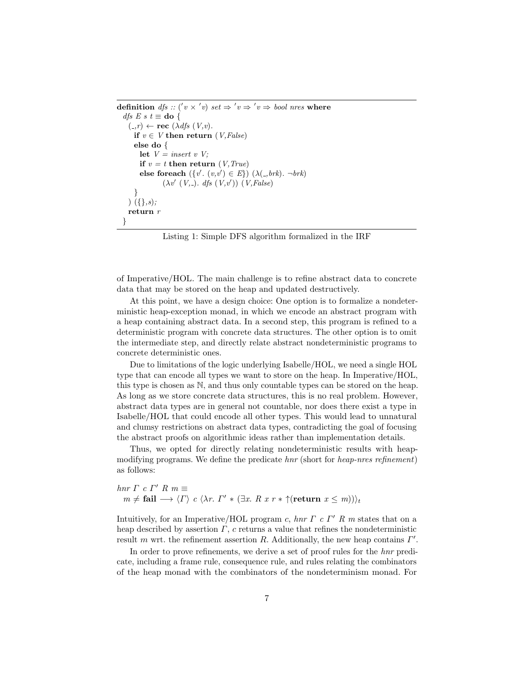```
definition dfs :: ('v \times 'v) \ set \Rightarrow 'v \Rightarrow 'v \Rightarrow \text{bool} \ nres \ wheredfs E s t \equiv do {
   (\_r) \leftarrow \text{rec} (\lambda \, df_s \, (V, v).if v \in V then return (V, False)else do {
        let V = insert v V;
        if v = t then return (V, True)else foreach (\{v', (v, v') \in E\}) (\lambda(\_, brk). \neg brk)(\lambda v' (V, -), \, dfs (V, v')) (V, False)}
   ) ({},s);return r
 }
```
Listing 1: Simple DFS algorithm formalized in the IRF

of Imperative/HOL. The main challenge is to refine abstract data to concrete data that may be stored on the heap and updated destructively.

At this point, we have a design choice: One option is to formalize a nondeterministic heap-exception monad, in which we encode an abstract program with a heap containing abstract data. In a second step, this program is refined to a deterministic program with concrete data structures. The other option is to omit the intermediate step, and directly relate abstract nondeterministic programs to concrete deterministic ones.

Due to limitations of the logic underlying Isabelle/HOL, we need a single HOL type that can encode all types we want to store on the heap. In Imperative/HOL, this type is chosen as N, and thus only countable types can be stored on the heap. As long as we store concrete data structures, this is no real problem. However, abstract data types are in general not countable, nor does there exist a type in Isabelle/HOL that could encode all other types. This would lead to unnatural and clumsy restrictions on abstract data types, contradicting the goal of focusing the abstract proofs on algorithmic ideas rather than implementation details.

Thus, we opted for directly relating nondeterministic results with heapmodifying programs. We define the predicate *hnr* (short for *heap-nres refinement*) as follows:

$$
hnr \Gamma \ c \Gamma' \ R \ m \equiv
$$
  
\n
$$
m \neq \textbf{fail} \longrightarrow \langle \Gamma \rangle \ c \ \langle \lambda r. \ \Gamma' \ * \ (\exists x. \ R \ x \ r \ * \ (\textbf{return} \ x \leq m) \rangle \rangle_t
$$

Intuitively, for an Imperative/HOL program c, hnr  $\Gamma$  c  $\Gamma'$  R m states that on a heap described by assertion  $\Gamma$ ,  $c$  returns a value that refines the nondeterministic result m wrt. the refinement assertion R. Additionally, the new heap contains  $\Gamma'$ .

In order to prove refinements, we derive a set of proof rules for the *hnr* predicate, including a frame rule, consequence rule, and rules relating the combinators of the heap monad with the combinators of the nondeterminism monad. For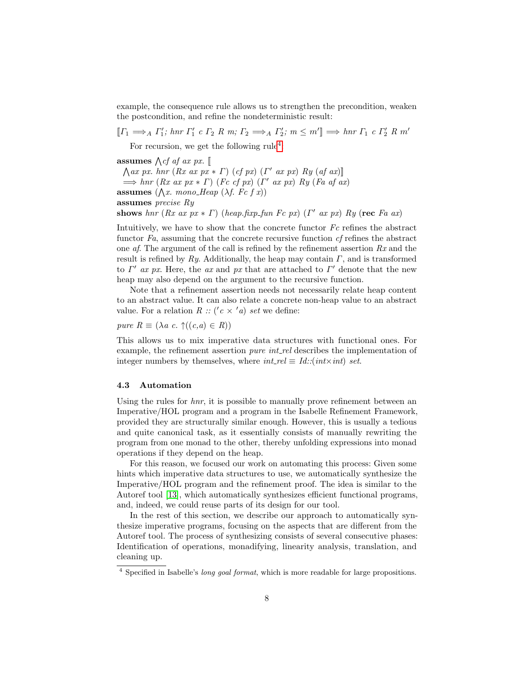example, the consequence rule allows us to strengthen the precondition, weaken the postcondition, and refine the nondeterministic result:

 $\llbracket \Gamma_1 \Longrightarrow_A \Gamma'_1; \text{hnr } \Gamma'_1 \text{ } c \Gamma_2 \text{ } R \text{ } m; \Gamma_2 \Longrightarrow_A \Gamma'_2; \text{ } m \leq m' \rrbracket \Longrightarrow \text{hnr } \Gamma_1 \text{ } c \Gamma'_2 \text{ } R \text{ } m'$ 

For recursion, we get the following rule<sup>[4](#page-7-0)</sup>:

assumes  $\int f \, df \, dx \, px$ .  $\bigwedge ax\ px\ hnr\ (Rx\ ax\ px\ *\ \Gamma)\ (cf\ px)\ (I'\ ax\ px)\ Ry\ (af\ ax)$  $\implies$  hnr (Rx ax px  $\ast$  Γ) (Fc cf px) (Γ' ax px) Ry (Fa af ax) assumes  $(\bigwedge x \text{ mon } B \text{ in } \{X, F \text{ in } f \text{ in } X)$ assumes precise Ry shows hnr  $(Rx \ ax \ px * \Gamma)$  (heap.fixp\_fun Fc px)  $(\Gamma' \ ax \ px) \ Ry$  (rec Fa ax)

Intuitively, we have to show that the concrete functor  $Fc$  refines the abstract functor Fa, assuming that the concrete recursive function cf refines the abstract one *af*. The argument of the call is refined by the refinement assertion  $Rx$  and the result is refined by Ry. Additionally, the heap may contain  $\Gamma$ , and is transformed to  $\Gamma'$  ax px. Here, the ax and px that are attached to  $\Gamma'$  denote that the new heap may also depend on the argument to the recursive function.

Note that a refinement assertion needs not necessarily relate heap content to an abstract value. It can also relate a concrete non-heap value to an abstract value. For a relation  $R :: ('c \times 'a)$  set we define:

pure  $R \equiv (\lambda a \ c. \ \uparrow ((c,a) \in R))$ 

This allows us to mix imperative data structures with functional ones. For example, the refinement assertion *pure int\_rel* describes the implementation of integer numbers by themselves, where  $int_{\mathcal{I}} rel \equiv Id$ :: $(int \times int)$  set.

#### 4.3 Automation

Using the rules for *hnr*, it is possible to manually prove refinement between an Imperative/HOL program and a program in the Isabelle Refinement Framework, provided they are structurally similar enough. However, this is usually a tedious and quite canonical task, as it essentially consists of manually rewriting the program from one monad to the other, thereby unfolding expressions into monad operations if they depend on the heap.

For this reason, we focused our work on automating this process: Given some hints which imperative data structures to use, we automatically synthesize the Imperative/HOL program and the refinement proof. The idea is similar to the Autoref tool [\[13\]](#page-15-0), which automatically synthesizes efficient functional programs, and, indeed, we could reuse parts of its design for our tool.

In the rest of this section, we describe our approach to automatically synthesize imperative programs, focusing on the aspects that are different from the Autoref tool. The process of synthesizing consists of several consecutive phases: Identification of operations, monadifying, linearity analysis, translation, and cleaning up.

<span id="page-7-0"></span> $4$  Specified in Isabelle's *long goal format*, which is more readable for large propositions.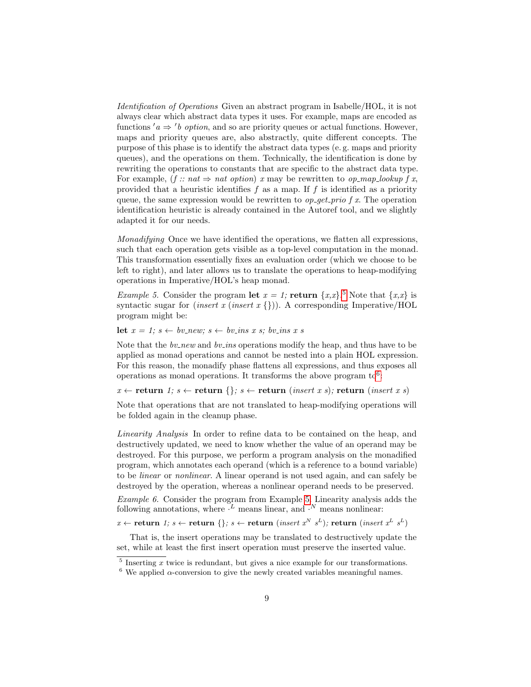Identification of Operations Given an abstract program in Isabelle/HOL, it is not always clear which abstract data types it uses. For example, maps are encoded as functions  $'a \Rightarrow 'b$  option, and so are priority queues or actual functions. However, maps and priority queues are, also abstractly, quite different concepts. The purpose of this phase is to identify the abstract data types (e. g. maps and priority queues), and the operations on them. Technically, the identification is done by rewriting the operations to constants that are specific to the abstract data type. For example,  $(f:: nat \Rightarrow nat option)$  x may be rewritten to op\_map\_lookup f x, provided that a heuristic identifies  $f$  as a map. If  $f$  is identified as a priority queue, the same expression would be rewritten to  $op\_get\_prio f x$ . The operation identification heuristic is already contained in the Autoref tool, and we slightly adapted it for our needs.

Monadifying Once we have identified the operations, we flatten all expressions, such that each operation gets visible as a top-level computation in the monad. This transformation essentially fixes an evaluation order (which we choose to be left to right), and later allows us to translate the operations to heap-modifying operations in Imperative/HOL's heap monad.

<span id="page-8-2"></span>*Example [5](#page-8-0).* Consider the program let  $x = 1$ ; return  $\{x, x\}$ .<sup>5</sup> Note that  $\{x, x\}$  is syntactic sugar for (*insert x* (*insert x* {})). A corresponding Imperative/HOL program might be:

let  $x = 1$ ;  $s \leftarrow bv\_new$ ;  $s \leftarrow bv\_ins \ x \ s$ ;  $bv\_ins \ x \ s$ 

Note that the  $bv$  new and  $bv$  ins operations modify the heap, and thus have to be applied as monad operations and cannot be nested into a plain HOL expression. For this reason, the monadify phase flattens all expressions, and thus exposes all operations as monad operations. It transforms the above program to  $6$ :

 $x \leftarrow \textbf{return } 1; s \leftarrow \textbf{return } \{\}; s \leftarrow \textbf{return } (insert \; x \; s); \textbf{return } (insert \; x \; s)$ 

Note that operations that are not translated to heap-modifying operations will be folded again in the cleanup phase.

Linearity Analysis In order to refine data to be contained on the heap, and destructively updated, we need to know whether the value of an operand may be destroyed. For this purpose, we perform a program analysis on the monadified program, which annotates each operand (which is a reference to a bound variable) to be linear or nonlinear. A linear operand is not used again, and can safely be destroyed by the operation, whereas a nonlinear operand needs to be preserved.

Example 6. Consider the program from Example [5.](#page-8-2) Linearity analysis adds the following annotations, where  $\cdot^L$  means linear, and  $\cdot^N$  means nonlinear:

 $x \leftarrow \textbf{return} \enspace l; \emph{s} \leftarrow \textbf{return} \enspace \lbrace\rbrace; \emph{s} \leftarrow \textbf{return} \enspace (insert \; x^N \; \; s^L); \textbf{return} \enspace (insert \; x^L \; \; s^L)$ 

That is, the insert operations may be translated to destructively update the set, while at least the first insert operation must preserve the inserted value.

<span id="page-8-0"></span> $5$  Inserting  $x$  twice is redundant, but gives a nice example for our transformations.

<span id="page-8-1"></span><sup>&</sup>lt;sup>6</sup> We applied  $\alpha$ -conversion to give the newly created variables meaningful names.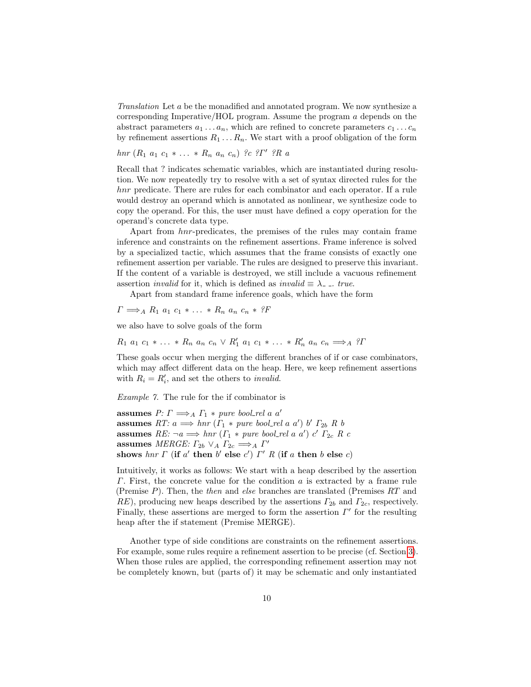Translation Let a be the monadified and annotated program. We now synthesize a corresponding Imperative/HOL program. Assume the program a depends on the abstract parameters  $a_1 \ldots a_n$ , which are refined to concrete parameters  $c_1 \ldots c_n$ by refinement assertions  $R_1 \ldots R_n$ . We start with a proof obligation of the form

hnr  $(R_1 \ a_1 \ c_1 \ * \ ... \ * R_n \ a_n \ c_n)$  ?c ?Γ' ?R a

Recall that ? indicates schematic variables, which are instantiated during resolution. We now repeatedly try to resolve with a set of syntax directed rules for the hnr predicate. There are rules for each combinator and each operator. If a rule would destroy an operand which is annotated as nonlinear, we synthesize code to copy the operand. For this, the user must have defined a copy operation for the operand's concrete data type.

Apart from hnr-predicates, the premises of the rules may contain frame inference and constraints on the refinement assertions. Frame inference is solved by a specialized tactic, which assumes that the frame consists of exactly one refinement assertion per variable. The rules are designed to preserve this invariant. If the content of a variable is destroyed, we still include a vacuous refinement assertion *invalid* for it, which is defined as *invalid*  $\equiv \lambda$ . true.

Apart from standard frame inference goals, which have the form

 $\Gamma \Longrightarrow_A R_1 \ a_1 \ c_1 \ * \ \ldots \ * R_n \ a_n \ c_n \ * \ ?F$ 

we also have to solve goals of the form

 $R_1$   $a_1$   $c_1$  \* ... \*  $R_n$   $a_n$   $c_n \vee R'_1$   $a_1$   $c_1$  \* ... \*  $R'_n$   $a_n$   $c_n \Longrightarrow_A$  ?

These goals occur when merging the different branches of if or case combinators, which may affect different data on the heap. Here, we keep refinement assertions with  $R_i = R'_i$ , and set the others to *invalid*.

Example 7. The rule for the if combinator is

assumes  $P: \Gamma \Longrightarrow_A \Gamma_1 * pure \; bool\_rel \; a \; a'$ assumes RT:  $a \implies \text{hnr}(F_1 * \text{pure bool\_rel } a a')$  b'  $F_{2b}$  R b assumes  $RE: \neg a \Longrightarrow hnr$  ( $\Gamma_1 * pure \; bool\_rel \; a \; a'$ ) c'  $\Gamma_{2c}$  R c assumes MERGE:  $\Gamma_{2b} \vee_A \Gamma_{2c} \Longrightarrow_A \Gamma'$ shows hnr  $\Gamma$  (if a' then b' else c')  $\Gamma'$  R (if a then b else c)

Intuitively, it works as follows: We start with a heap described by the assertion  $\Gamma$ . First, the concrete value for the condition a is extracted by a frame rule (Premise  $P$ ). Then, the *then* and *else* branches are translated (Premises  $RT$  and RE), producing new heaps described by the assertions  $\Gamma_{2b}$  and  $\Gamma_{2c}$ , respectively. Finally, these assertions are merged to form the assertion  $\Gamma'$  for the resulting heap after the if statement (Premise MERGE).

Another type of side conditions are constraints on the refinement assertions. For example, some rules require a refinement assertion to be precise (cf. Section [3\)](#page-4-0). When those rules are applied, the corresponding refinement assertion may not be completely known, but (parts of) it may be schematic and only instantiated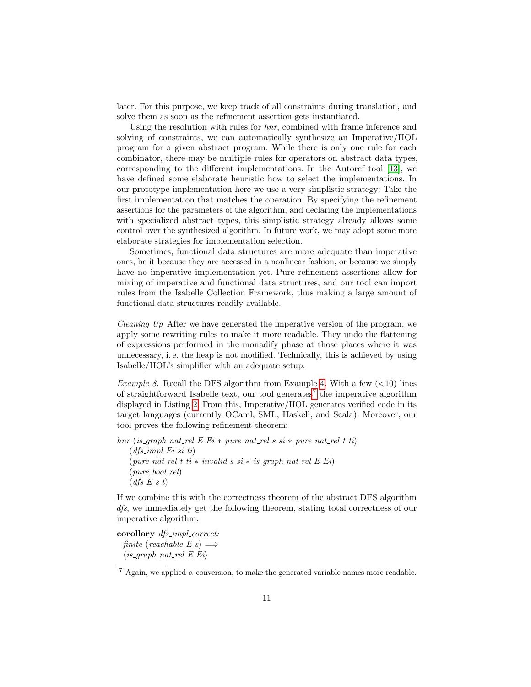later. For this purpose, we keep track of all constraints during translation, and solve them as soon as the refinement assertion gets instantiated.

Using the resolution with rules for *hnr*, combined with frame inference and solving of constraints, we can automatically synthesize an Imperative/HOL program for a given abstract program. While there is only one rule for each combinator, there may be multiple rules for operators on abstract data types, corresponding to the different implementations. In the Autoref tool [\[13\]](#page-15-0), we have defined some elaborate heuristic how to select the implementations. In our prototype implementation here we use a very simplistic strategy: Take the first implementation that matches the operation. By specifying the refinement assertions for the parameters of the algorithm, and declaring the implementations with specialized abstract types, this simplistic strategy already allows some control over the synthesized algorithm. In future work, we may adopt some more elaborate strategies for implementation selection.

Sometimes, functional data structures are more adequate than imperative ones, be it because they are accessed in a nonlinear fashion, or because we simply have no imperative implementation yet. Pure refinement assertions allow for mixing of imperative and functional data structures, and our tool can import rules from the Isabelle Collection Framework, thus making a large amount of functional data structures readily available.

Cleaning Up After we have generated the imperative version of the program, we apply some rewriting rules to make it more readable. They undo the flattening of expressions performed in the monadify phase at those places where it was unnecessary, i. e. the heap is not modified. Technically, this is achieved by using Isabelle/HOL's simplifier with an adequate setup.

*Example 8.* Recall the DFS algorithm from Example [4.](#page-5-0) With a few  $\langle \langle 10 \rangle$  lines of straightforward Isabelle text, our tool generates<sup>[7](#page-10-0)</sup> the imperative algorithm displayed in Listing [2.](#page-11-1) From this, Imperative/HOL generates verified code in its target languages (currently OCaml, SML, Haskell, and Scala). Moreover, our tool proves the following refinement theorem:

hnr (is\_graph nat\_rel E Ei  $*$  pure nat\_rel s si  $*$  pure nat\_rel t ti)  $(dfs\_impl Ei \, si \, ti)$ (pure nat\_rel t ti  $*$  invalid s si  $*$  is\_graph nat\_rel E Ei)  $(\text{pure bool\_rel})$  $(dfs\ E\ s\ t)$ 

If we combine this with the correctness theorem of the abstract DFS algorithm dfs, we immediately get the following theorem, stating total correctness of our imperative algorithm:

corollary  $dfs\_impl\_correct$ : finite (reachable E s)  $\Longrightarrow$  $\langle$ is\_qraph nat\_rel E Ei $\rangle$ 

<span id="page-10-0"></span><sup>&</sup>lt;sup>7</sup> Again, we applied  $\alpha$ -conversion, to make the generated variable names more readable.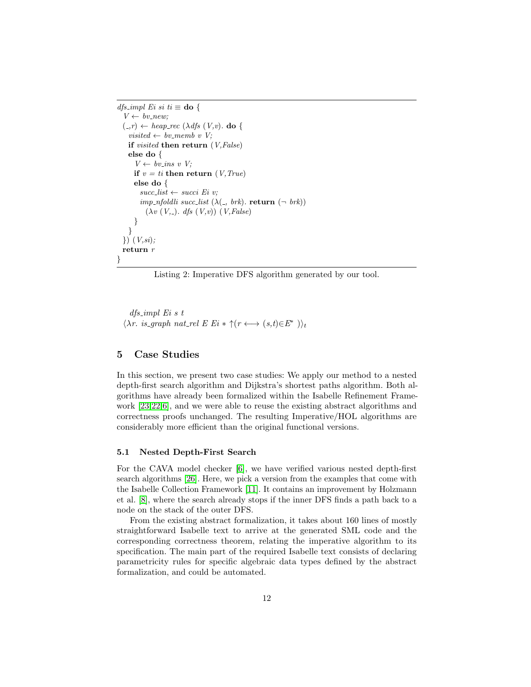```
dfs_impl Ei si ti \equiv do {
  V \leftarrow bv\_new;(\_,r) \leftarrow \text{heap\_rec} (\lambda \text{dfs} (V,v)). do {
    visited \leftarrow bv_memb v V;
    if visited then return (V, False)else do {
       V \leftarrow bv_{\perp}ins v V;
      if v = ti then return (V, True)else do {
         succ\_list \leftarrow succ_i E_i v:
         imp_n, nfoldli succ_list (\lambda(\_, brk). return (\neg brk))(\lambda v \ (V, \_) \ldots \ dfs \ (V, v)) \ (V, False)}
    }
  \}) (V, s_i);return r
}
```
Listing 2: Imperative DFS algorithm generated by our tool.

dfs impl Ei s t  $\langle \lambda r. \text{ is\_graph } nat_{rel} \to E i * \uparrow (r \longleftrightarrow (s, t) \in E^*) \rangle_t$ 

# <span id="page-11-0"></span>5 Case Studies

In this section, we present two case studies: We apply our method to a nested depth-first search algorithm and Dijkstra's shortest paths algorithm. Both algorithms have already been formalized within the Isabelle Refinement Framework [\[23,](#page-15-2)[22,](#page-15-11)[6\]](#page-14-0), and we were able to reuse the existing abstract algorithms and correctness proofs unchanged. The resulting Imperative/HOL algorithms are considerably more efficient than the original functional versions.

#### 5.1 Nested Depth-First Search

For the CAVA model checker [\[6\]](#page-14-0), we have verified various nested depth-first search algorithms [\[26\]](#page-15-12). Here, we pick a version from the examples that come with the Isabelle Collection Framework [\[11\]](#page-15-13). It contains an improvement by Holzmann et al. [\[8\]](#page-14-4), where the search already stops if the inner DFS finds a path back to a node on the stack of the outer DFS.

From the existing abstract formalization, it takes about 160 lines of mostly straightforward Isabelle text to arrive at the generated SML code and the corresponding correctness theorem, relating the imperative algorithm to its specification. The main part of the required Isabelle text consists of declaring parametricity rules for specific algebraic data types defined by the abstract formalization, and could be automated.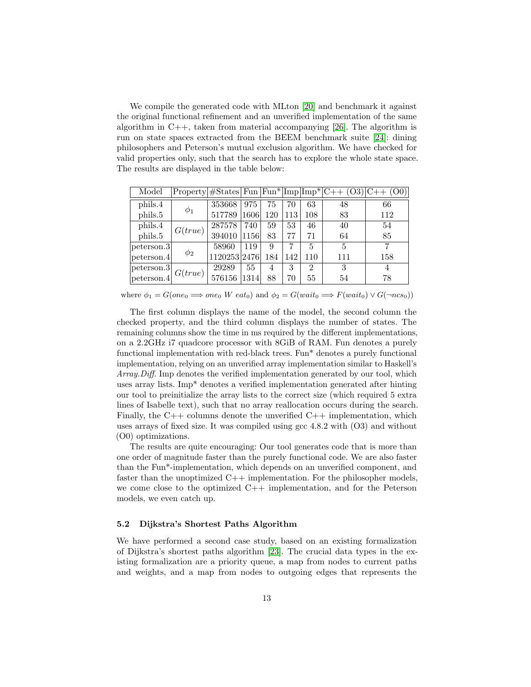We compile the generated code with MLton [\[20\]](#page-15-14) and benchmark it against the original functional refinement and an unverified implementation of the same algorithm in  $C_{++}$ , taken from material accompanying [\[26\]](#page-15-12). The algorithm is run on state spaces extracted from the BEEM benchmark suite [\[24\]](#page-15-15): dining philosophers and Peterson's mutual exclusion algorithm. We have checked for valid properties only, such that the search has to explore the whole state space. The results are displayed in the table below:

| Model      |             |              |      |     |     |                | $Property$ #States Fun Fun* Imp Imp* $C++$ (03) $C++$ (00) |     |
|------------|-------------|--------------|------|-----|-----|----------------|------------------------------------------------------------|-----|
| phils.4    | $\varphi_1$ | 353668       | 975  | 75  | 70  | 63             | 48                                                         | 66  |
| phils.5    |             | 517789       | 1606 | 120 | 113 | 108            | 83                                                         | 112 |
| phils.4    | G(true)     | 287578       | 740  | 59  | 53  | 46             | 40                                                         | 54  |
| phils.5    |             | 394010       | 1156 | 83  | 77  | 71             | 64                                                         | 85  |
| peterson.3 | $\phi_2$    | 58960        | 119  | 9   | 7   | 5              | 5                                                          | 7   |
| peterson.4 |             | 1120253 2476 |      | 184 | 142 | 110            | 111                                                        | 158 |
| peterson.3 | G(true)     | 29289        | 55   | 4   | 3   | $\overline{2}$ | 3                                                          | 4   |
| peterson.4 |             | 576156       | 1314 | 88  | 70  | 55             | 54                                                         | 78  |

where  $\phi_1 = G(one_0 \Longrightarrow one_0 \; W \; eat_0)$  and  $\phi_2 = G(wait_0 \Longrightarrow F(wait_0) \lor G(\neg ncs_0))$ 

The first column displays the name of the model, the second column the checked property, and the third column displays the number of states. The remaining columns show the time in ms required by the different implementations, on a 2.2GHz i7 quadcore processor with 8GiB of RAM. Fun denotes a purely functional implementation with red-black trees. Fun\* denotes a purely functional implementation, relying on an unverified array implementation similar to Haskell's Array.Diff. Imp denotes the verified implementation generated by our tool, which uses array lists. Imp\* denotes a verified implementation generated after hinting our tool to preinitialize the array lists to the correct size (which required 5 extra lines of Isabelle text), such that no array reallocation occurs during the search. Finally, the  $C++$  columns denote the unverified  $C++$  implementation, which uses arrays of fixed size. It was compiled using gcc 4.8.2 with (O3) and without (O0) optimizations.

The results are quite encouraging: Our tool generates code that is more than one order of magnitude faster than the purely functional code. We are also faster than the Fun\*-implementation, which depends on an unverified component, and faster than the unoptimized  $C_{++}$  implementation. For the philosopher models, we come close to the optimized C++ implementation, and for the Peterson models, we even catch up.

#### 5.2 Dijkstra's Shortest Paths Algorithm

We have performed a second case study, based on an existing formalization of Dijkstra's shortest paths algorithm [\[23\]](#page-15-2). The crucial data types in the existing formalization are a priority queue, a map from nodes to current paths and weights, and a map from nodes to outgoing edges that represents the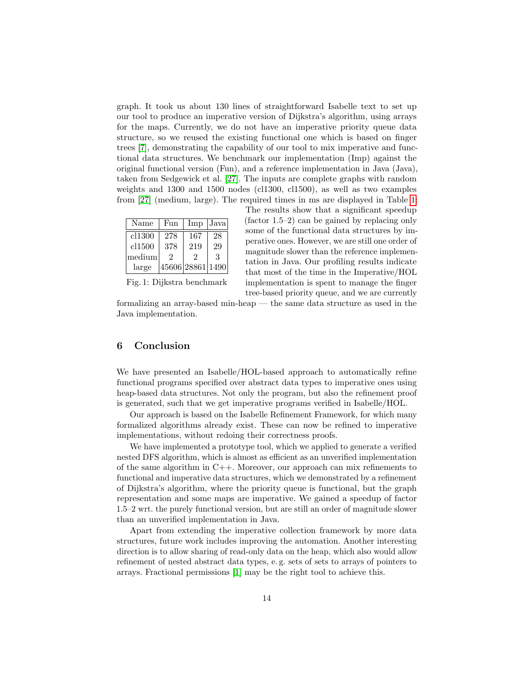graph. It took us about 130 lines of straightforward Isabelle text to set up our tool to produce an imperative version of Dijkstra's algorithm, using arrays for the maps. Currently, we do not have an imperative priority queue data structure, so we reused the existing functional one which is based on finger trees [\[7\]](#page-14-5), demonstrating the capability of our tool to mix imperative and functional data structures. We benchmark our implementation (Imp) against the original functional version (Fun), and a reference implementation in Java (Java), taken from Sedgewick et al. [\[27\]](#page-15-16). The inputs are complete graphs with random weights and 1300 and 1500 nodes (cl1300, cl1500), as well as two examples from [\[27\]](#page-15-16) (medium, large). The required times in ms are displayed in Table [1:](#page-13-1)

<span id="page-13-1"></span>

| Name   | Fun | Imp              | Java |
|--------|-----|------------------|------|
| cl1300 | 278 | 167              | 28   |
| cl1500 | 378 | 219              | 29   |
| medium | 2   | ' $\lambda$      | З    |
| large  |     | 45606 28861 1490 |      |

Fig. 1: Dijkstra benchmark

The results show that a significant speedup (factor 1.5–2) can be gained by replacing only some of the functional data structures by imperative ones. However, we are still one order of magnitude slower than the reference implementation in Java. Our profiling results indicate that most of the time in the Imperative/HOL implementation is spent to manage the finger tree-based priority queue, and we are currently

formalizing an array-based min-heap — the same data structure as used in the Java implementation.

# <span id="page-13-0"></span>6 Conclusion

We have presented an Isabelle/HOL-based approach to automatically refine functional programs specified over abstract data types to imperative ones using heap-based data structures. Not only the program, but also the refinement proof is generated, such that we get imperative programs verified in Isabelle/HOL.

Our approach is based on the Isabelle Refinement Framework, for which many formalized algorithms already exist. These can now be refined to imperative implementations, without redoing their correctness proofs.

We have implemented a prototype tool, which we applied to generate a verified nested DFS algorithm, which is almost as efficient as an unverified implementation of the same algorithm in C++. Moreover, our approach can mix refinements to functional and imperative data structures, which we demonstrated by a refinement of Dijkstra's algorithm, where the priority queue is functional, but the graph representation and some maps are imperative. We gained a speedup of factor 1.5–2 wrt. the purely functional version, but are still an order of magnitude slower than an unverified implementation in Java.

Apart from extending the imperative collection framework by more data structures, future work includes improving the automation. Another interesting direction is to allow sharing of read-only data on the heap, which also would allow refinement of nested abstract data types, e. g. sets of sets to arrays of pointers to arrays. Fractional permissions [\[1\]](#page-14-6) may be the right tool to achieve this.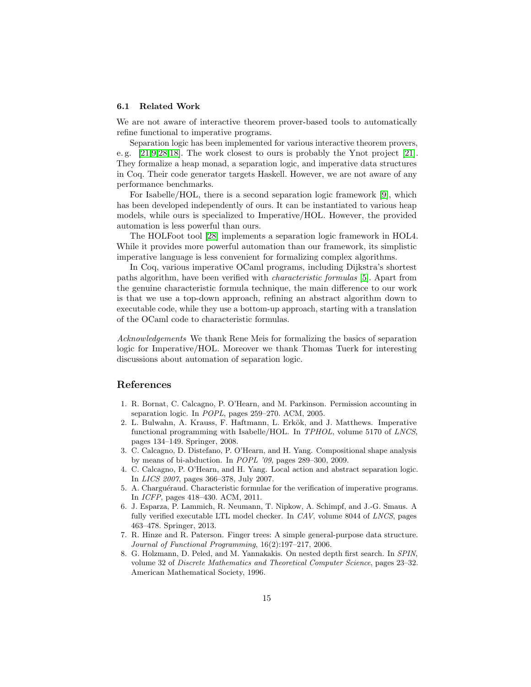#### 6.1 Related Work

We are not aware of interactive theorem prover-based tools to automatically refine functional to imperative programs.

Separation logic has been implemented for various interactive theorem provers, e. g. [\[21](#page-15-17)[,9](#page-15-18)[,28,](#page-15-8)[18\]](#page-15-19). The work closest to ours is probably the Ynot project [\[21\]](#page-15-17). They formalize a heap monad, a separation logic, and imperative data structures in Coq. Their code generator targets Haskell. However, we are not aware of any performance benchmarks.

For Isabelle/HOL, there is a second separation logic framework [\[9\]](#page-15-18), which has been developed independently of ours. It can be instantiated to various heap models, while ours is specialized to Imperative/HOL. However, the provided automation is less powerful than ours.

The HOLFoot tool [\[28\]](#page-15-8) implements a separation logic framework in HOL4. While it provides more powerful automation than our framework, its simplistic imperative language is less convenient for formalizing complex algorithms.

In Coq, various imperative OCaml programs, including Dijkstra's shortest paths algorithm, have been verified with characteristic formulas [\[5\]](#page-14-7). Apart from the genuine characteristic formula technique, the main difference to our work is that we use a top-down approach, refining an abstract algorithm down to executable code, while they use a bottom-up approach, starting with a translation of the OCaml code to characteristic formulas.

Acknowledgements We thank Rene Meis for formalizing the basics of separation logic for Imperative/HOL. Moreover we thank Thomas Tuerk for interesting discussions about automation of separation logic.

## References

- <span id="page-14-6"></span>1. R. Bornat, C. Calcagno, P. O'Hearn, and M. Parkinson. Permission accounting in separation logic. In POPL, pages 259–270. ACM, 2005.
- <span id="page-14-1"></span>2. L. Bulwahn, A. Krauss, F. Haftmann, L. Erkök, and J. Matthews. Imperative functional programming with Isabelle/HOL. In TPHOL, volume 5170 of LNCS, pages 134–149. Springer, 2008.
- <span id="page-14-3"></span>3. C. Calcagno, D. Distefano, P. O'Hearn, and H. Yang. Compositional shape analysis by means of bi-abduction. In POPL '09, pages 289–300, 2009.
- <span id="page-14-2"></span>4. C. Calcagno, P. O'Hearn, and H. Yang. Local action and abstract separation logic. In LICS 2007, pages 366–378, July 2007.
- <span id="page-14-7"></span>5. A. Charguéraud. Characteristic formulae for the verification of imperative programs. In ICFP, pages 418–430. ACM, 2011.
- <span id="page-14-0"></span>6. J. Esparza, P. Lammich, R. Neumann, T. Nipkow, A. Schimpf, and J.-G. Smaus. A fully verified executable LTL model checker. In CAV, volume 8044 of LNCS, pages 463–478. Springer, 2013.
- <span id="page-14-5"></span>7. R. Hinze and R. Paterson. Finger trees: A simple general-purpose data structure. Journal of Functional Programming, 16(2):197–217, 2006.
- <span id="page-14-4"></span>8. G. Holzmann, D. Peled, and M. Yannakakis. On nested depth first search. In SPIN, volume 32 of Discrete Mathematics and Theoretical Computer Science, pages 23–32. American Mathematical Society, 1996.